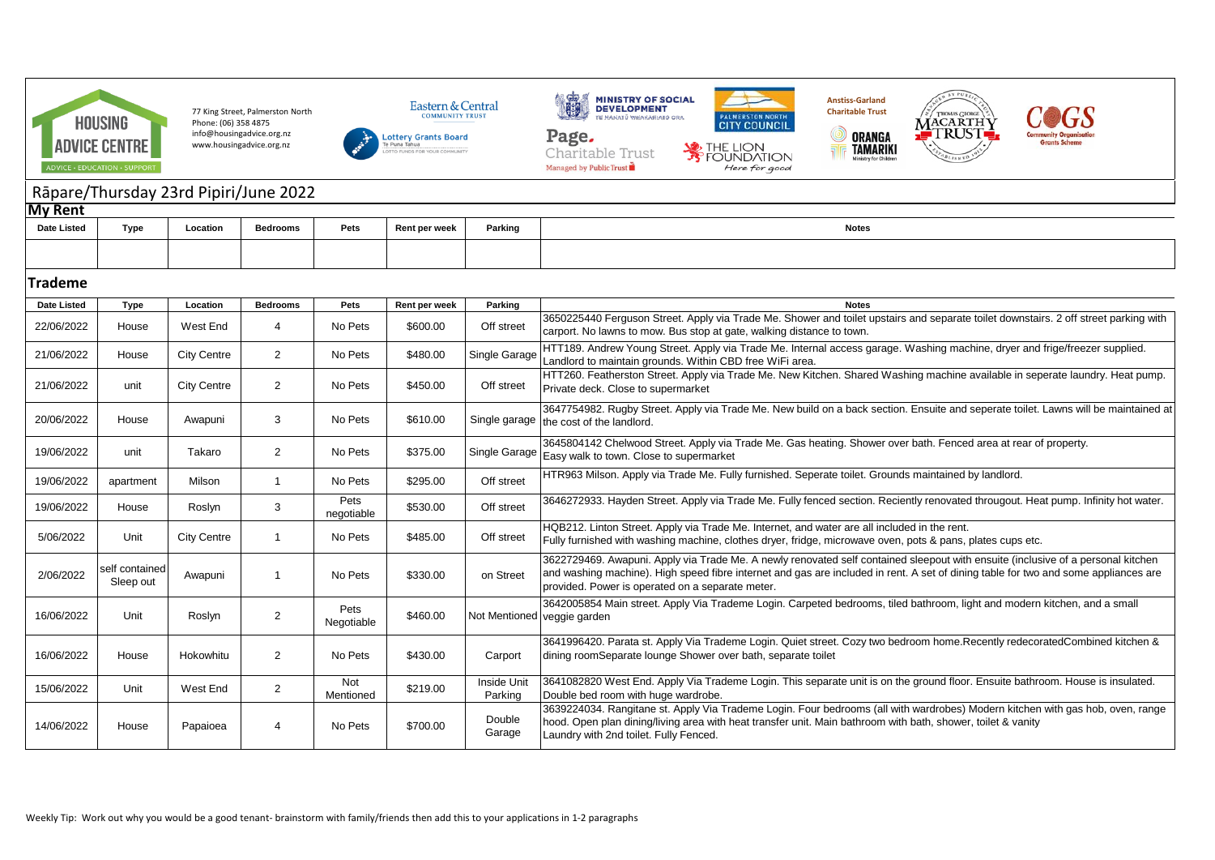

77 King Street, Palmerston North Phone: (06) 358 4875 info@housingadvice.org.nz www.housingadvice.org.nz









 $\circledcirc$ 



## Rāpare/Thursday 23rd Pipiri/June 2022

| <b>My Rent</b>     |      |          |          |      |               |         |              |  |  |  |
|--------------------|------|----------|----------|------|---------------|---------|--------------|--|--|--|
| <b>Date Listed</b> | Type | Location | Bedrooms | Pets | Rent per week | Parking | <b>Notes</b> |  |  |  |
|                    |      |          |          |      |               |         |              |  |  |  |

## **Trademe**

| <b>Date Listed</b> | <b>Type</b>                 | Location           | <b>Bedrooms</b> | Pets               | Rent per week | Parking                     | <b>Notes</b>                                                                                                                                                                                                                                                                                                                |
|--------------------|-----------------------------|--------------------|-----------------|--------------------|---------------|-----------------------------|-----------------------------------------------------------------------------------------------------------------------------------------------------------------------------------------------------------------------------------------------------------------------------------------------------------------------------|
| 22/06/2022         | House                       | West End           | 4               | No Pets            | \$600.00      | Off street                  | 3650225440 Ferguson Street. Apply via Trade Me. Shower and toilet upstairs and separate toilet downstairs. 2 off street parking with<br>carport. No lawns to mow. Bus stop at gate, walking distance to town.                                                                                                               |
| 21/06/2022         | House                       | <b>City Centre</b> | $\overline{2}$  | No Pets            | \$480.00      | Single Garage               | HTT189. Andrew Young Street. Apply via Trade Me. Internal access garage. Washing machine, dryer and frige/freezer supplied.<br>Landlord to maintain grounds. Within CBD free WiFi area.                                                                                                                                     |
| 21/06/2022         | unit                        | <b>City Centre</b> | $\overline{2}$  | No Pets            | \$450.00      | Off street                  | HTT260. Featherston Street. Apply via Trade Me. New Kitchen. Shared Washing machine available in seperate laundry. Heat pump.<br>Private deck. Close to supermarket                                                                                                                                                         |
| 20/06/2022         | House                       | Awapuni            | 3               | No Pets            | \$610.00      |                             | 3647754982. Rugby Street. Apply via Trade Me. New build on a back section. Ensuite and seperate toilet. Lawns will be maintained at<br>Single garage the cost of the landlord.                                                                                                                                              |
| 19/06/2022         | unit                        | Takaro             | $\overline{2}$  | No Pets            | \$375.00      |                             | 3645804142 Chelwood Street. Apply via Trade Me. Gas heating. Shower over bath. Fenced area at rear of property.<br>$\mid$ Single Garage $\mid$ Easy walk to town. Close to supermarket                                                                                                                                      |
| 19/06/2022         | apartment                   | Milson             | $\mathbf{1}$    | No Pets            | \$295.00      | Off street                  | HTR963 Milson. Apply via Trade Me. Fully furnished. Seperate toilet. Grounds maintained by landlord.                                                                                                                                                                                                                        |
| 19/06/2022         | House                       | Roslyn             | 3               | Pets<br>negotiable | \$530.00      | Off street                  | 3646272933. Hayden Street. Apply via Trade Me. Fully fenced section. Reciently renovated througout. Heat pump. Infinity hot water.                                                                                                                                                                                          |
| 5/06/2022          | Unit                        | <b>City Centre</b> | $\mathbf{1}$    | No Pets            | \$485.00      | Off street                  | HQB212. Linton Street. Apply via Trade Me. Internet, and water are all included in the rent.<br>Fully furnished with washing machine, clothes dryer, fridge, microwave oven, pots & pans, plates cups etc.                                                                                                                  |
| 2/06/2022          | self contained<br>Sleep out | Awapuni            | $\mathbf 1$     | No Pets            | \$330.00      | on Street                   | 3622729469. Awapuni. Apply via Trade Me. A newly renovated self contained sleepout with ensuite (inclusive of a personal kitchen<br>and washing machine). High speed fibre internet and gas are included in rent. A set of dining table for two and some appliances are<br>provided. Power is operated on a separate meter. |
| 16/06/2022         | Unit                        | Roslyn             | $\overline{2}$  | Pets<br>Negotiable | \$460.00      | Not Mentioned veggie garden | 3642005854 Main street. Apply Via Trademe Login. Carpeted bedrooms, tiled bathroom, light and modern kitchen, and a small                                                                                                                                                                                                   |
| 16/06/2022         | House                       | Hokowhitu          | $\overline{2}$  | No Pets            | \$430.00      | Carport                     | 3641996420. Parata st. Apply Via Trademe Login. Quiet street. Cozy two bedroom home. Recently redecoratedCombined kitchen &<br>dining roomSeparate lounge Shower over bath, separate toilet                                                                                                                                 |
| 15/06/2022         | Unit                        | West End           | $\overline{2}$  | Not<br>Mentioned   | \$219.00      | Inside Unit<br>Parking      | 3641082820 West End. Apply Via Trademe Login. This separate unit is on the ground floor. Ensuite bathroom. House is insulated.<br>Double bed room with huge wardrobe.                                                                                                                                                       |
| 14/06/2022         | House                       | Papaioea           | 4               | No Pets            | \$700.00      | Double<br>Garage            | 3639224034. Rangitane st. Apply Via Trademe Login. Four bedrooms (all with wardrobes) Modern kitchen with gas hob, oven, range<br>hood. Open plan dining/living area with heat transfer unit. Main bathroom with bath, shower, toilet & vanity<br>Laundry with 2nd toilet. Fully Fenced.                                    |